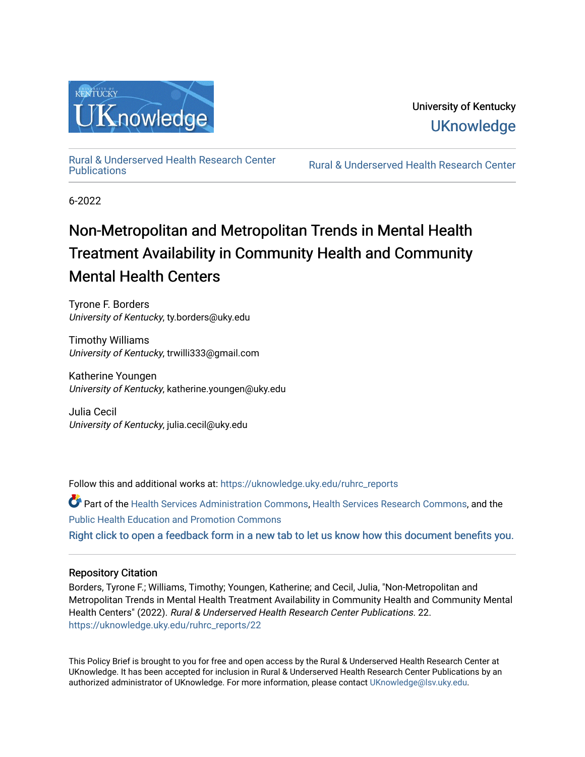

[Rural & Underserved Health Research Center](https://uknowledge.uky.edu/ruhrc_reports) 

Rural & Underserved Health Research Center

6-2022

# Non-Metropolitan and Metropolitan Trends in Mental Health Treatment Availability in Community Health and Community Mental Health Centers

Tyrone F. Borders University of Kentucky, ty.borders@uky.edu

Timothy Williams University of Kentucky, trwilli333@gmail.com

Katherine Youngen University of Kentucky, katherine.youngen@uky.edu

Julia Cecil University of Kentucky, julia.cecil@uky.edu

Follow this and additional works at: [https://uknowledge.uky.edu/ruhrc\\_reports](https://uknowledge.uky.edu/ruhrc_reports?utm_source=uknowledge.uky.edu%2Fruhrc_reports%2F22&utm_medium=PDF&utm_campaign=PDFCoverPages) 

Part of the [Health Services Administration Commons,](https://network.bepress.com/hgg/discipline/747?utm_source=uknowledge.uky.edu%2Fruhrc_reports%2F22&utm_medium=PDF&utm_campaign=PDFCoverPages) [Health Services Research Commons,](https://network.bepress.com/hgg/discipline/816?utm_source=uknowledge.uky.edu%2Fruhrc_reports%2F22&utm_medium=PDF&utm_campaign=PDFCoverPages) and the [Public Health Education and Promotion Commons](https://network.bepress.com/hgg/discipline/743?utm_source=uknowledge.uky.edu%2Fruhrc_reports%2F22&utm_medium=PDF&utm_campaign=PDFCoverPages)  [Right click to open a feedback form in a new tab to let us know how this document benefits you.](https://uky.az1.qualtrics.com/jfe/form/SV_9mq8fx2GnONRfz7)

# Repository Citation

Borders, Tyrone F.; Williams, Timothy; Youngen, Katherine; and Cecil, Julia, "Non-Metropolitan and Metropolitan Trends in Mental Health Treatment Availability in Community Health and Community Mental Health Centers" (2022). Rural & Underserved Health Research Center Publications. 22. [https://uknowledge.uky.edu/ruhrc\\_reports/22](https://uknowledge.uky.edu/ruhrc_reports/22?utm_source=uknowledge.uky.edu%2Fruhrc_reports%2F22&utm_medium=PDF&utm_campaign=PDFCoverPages)

This Policy Brief is brought to you for free and open access by the Rural & Underserved Health Research Center at UKnowledge. It has been accepted for inclusion in Rural & Underserved Health Research Center Publications by an authorized administrator of UKnowledge. For more information, please contact [UKnowledge@lsv.uky.edu](mailto:UKnowledge@lsv.uky.edu).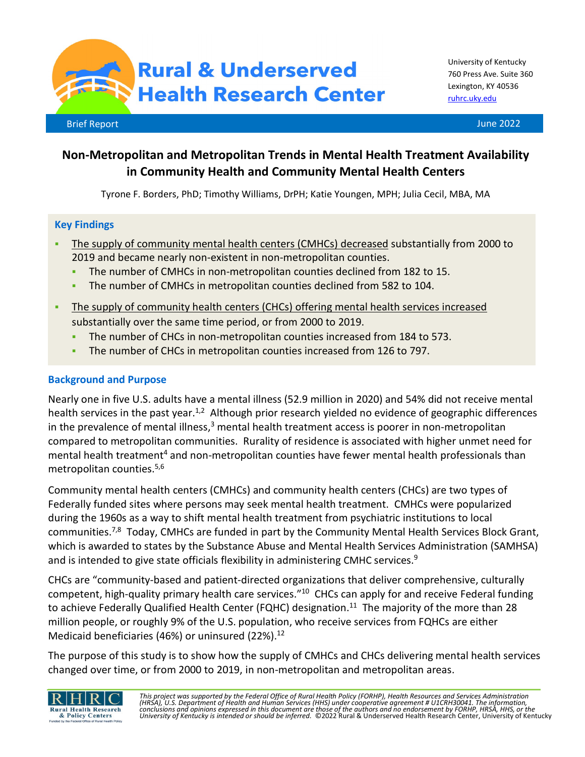**Rural & Underserved Health Research Center** 

# **Non-Metropolitan and Metropolitan Trends in Mental Health Treatment Availability in Community Health and Community Mental Health Centers**

Tyrone F. Borders, PhD; Timothy Williams, DrPH; Katie Youngen, MPH; Julia Cecil, MBA, MA

# **Key Findings**

- The supply of community mental health centers (CMHCs) decreased substantially from 2000 to 2019 and became nearly non-existent in non-metropolitan counties.
	- The number of CMHCs in non-metropolitan counties declined from 182 to 15.
	- The number of CMHCs in metropolitan counties declined from 582 to 104.
- The supply of community health centers (CHCs) offering mental health services increased substantially over the same time period, or from 2000 to 2019.
	- The number of CHCs in non-metropolitan counties increased from 184 to 573.
	- The number of CHCs in metropolitan counties increased from 126 to 797.

# **Background and Purpose**

Nearly one in five U.S. adults have a mental illness (52.9 million in 2020) and 54% did not receive mental health services in the past year.<sup>1,2</sup> Although prior research yielded no evidence of geographic differences in the prevalence of mental illness, $3$  mental health treatment access is poorer in non-metropolitan compared to metropolitan communities. Rurality of residence is associated with higher unmet need for mental health treatment<sup>4</sup> and non-metropolitan counties have fewer mental health professionals than metropolitan counties.5,6

Community mental health centers (CMHCs) and community health centers (CHCs) are two types of Federally funded sites where persons may seek mental health treatment. CMHCs were popularized during the 1960s as a way to shift mental health treatment from psychiatric institutions to local communities.<sup>7,8</sup> Today, CMHCs are funded in part by the Community Mental Health Services Block Grant, which is awarded to states by the Substance Abuse and Mental Health Services Administration (SAMHSA) and is intended to give state officials flexibility in administering CMHC services. $9$ 

CHCs are "community-based and patient-directed organizations that deliver comprehensive, culturally competent, high-quality primary health care services."10 CHCs can apply for and receive Federal funding to achieve Federally Qualified Health Center (FQHC) designation.<sup>11</sup> The majority of the more than 28 million people, or roughly 9% of the U.S. population, who receive services from FQHCs are either Medicaid beneficiaries (46%) or uninsured (22%). 12

The purpose of this study is to show how the supply of CMHCs and CHCs delivering mental health services changed over time, or from 2000 to 2019, in non-metropolitan and metropolitan areas.

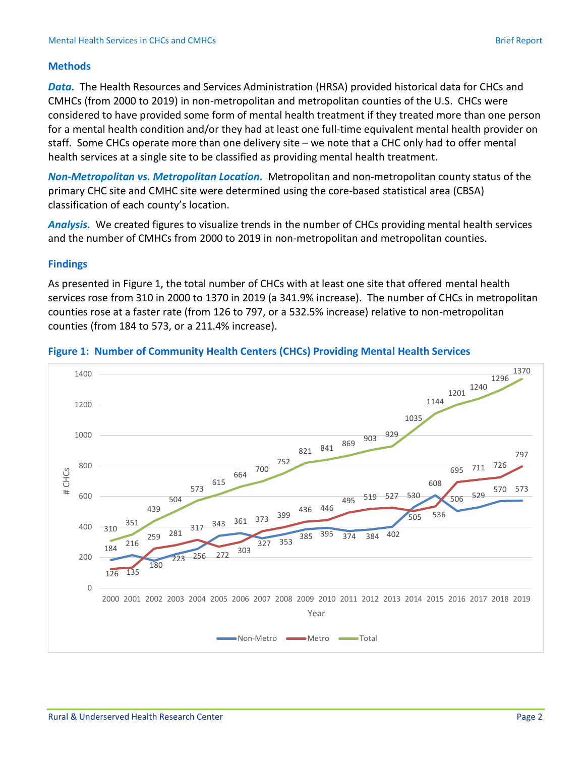# **Methods**

*Data.* The Health Resources and Services Administration (HRSA) provided historical data for CHCs and CMHCs (from 2000 to 2019) in non-metropolitan and metropolitan counties of the U.S. CHCs were considered to have provided some form of mental health treatment if they treated more than one person for a mental health condition and/or they had at least one full-time equivalent mental health provider on staff. Some CHCs operate more than one delivery site – we note that a CHC only had to offer mental health services at a single site to be classified as providing mental health treatment.

*Non-Metropolitan vs. Metropolitan Location.* Metropolitan and non-metropolitan county status of the primary CHC site and CMHC site were determined using the core-based statistical area (CBSA) classification of each county's location.

*Analysis.* We created figures to visualize trends in the number of CHCs providing mental health services and the number of CMHCs from 2000 to 2019 in non-metropolitan and metropolitan counties.

# **Findings**

As presented in Figure 1, the total number of CHCs with at least one site that offered mental health services rose from 310 in 2000 to 1370 in 2019 (a 341.9% increase). The number of CHCs in metropolitan counties rose at a faster rate (from 126 to 797, or a 532.5% increase) relative to non-metropolitan counties (from 184 to 573, or a 211.4% increase).



#### **Figure 1: Number of Community Health Centers (CHCs) Providing Mental Health Services**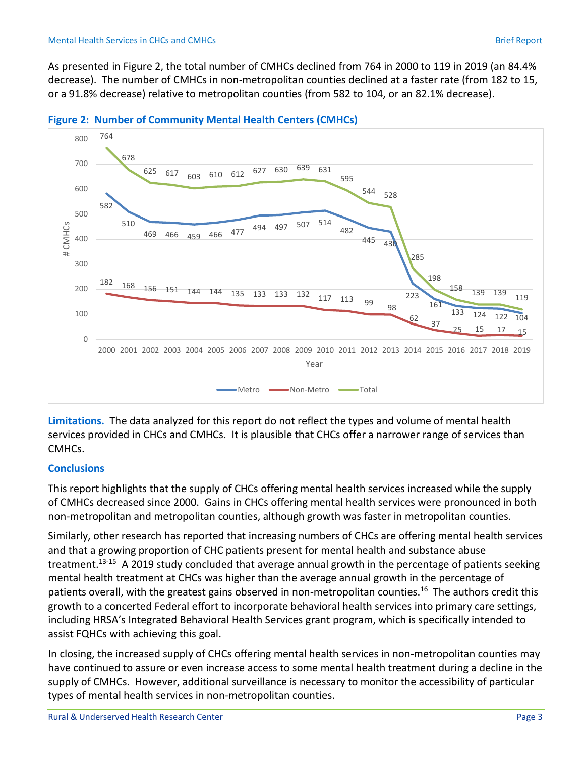As presented in Figure 2, the total number of CMHCs declined from 764 in 2000 to 119 in 2019 (an 84.4% decrease). The number of CMHCs in non-metropolitan counties declined at a faster rate (from 182 to 15, or a 91.8% decrease) relative to metropolitan counties (from 582 to 104, or an 82.1% decrease).





**Limitations.** The data analyzed for this report do not reflect the types and volume of mental health services provided in CHCs and CMHCs. It is plausible that CHCs offer a narrower range of services than CMHCs.

# **Conclusions**

This report highlights that the supply of CHCs offering mental health services increased while the supply of CMHCs decreased since 2000. Gains in CHCs offering mental health services were pronounced in both non-metropolitan and metropolitan counties, although growth was faster in metropolitan counties.

Similarly, other research has reported that increasing numbers of CHCs are offering mental health services and that a growing proportion of CHC patients present for mental health and substance abuse treatment.<sup>13-15</sup> A 2019 study concluded that average annual growth in the percentage of patients seeking mental health treatment at CHCs was higher than the average annual growth in the percentage of patients overall, with the greatest gains observed in non-metropolitan counties.<sup>16</sup> The authors credit this growth to a concerted Federal effort to incorporate behavioral health services into primary care settings, including HRSA's Integrated Behavioral Health Services grant program, which is specifically intended to assist FQHCs with achieving this goal.

In closing, the increased supply of CHCs offering mental health services in non-metropolitan counties may have continued to assure or even increase access to some mental health treatment during a decline in the supply of CMHCs. However, additional surveillance is necessary to monitor the accessibility of particular types of mental health services in non-metropolitan counties.